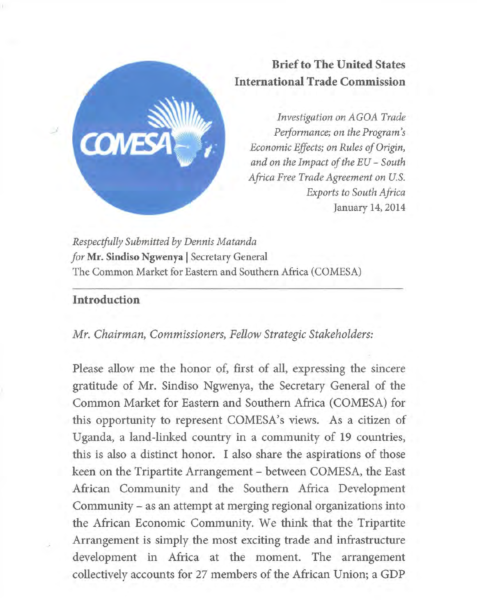

# **Brief to The United States International Trade Commission**

*Investigation on AGOA Trade Performance; on the Program's Economic Effects; on Rules of Origin, and on the Impact of the EU - South Africa Free Trade Agreement on U.S. Exports to South Africa*  January 14,2014

*Respectfully Submitted by Dennis Matanda for* **Mr. Sindiso Ngwenya** | Secretary General The Common Market for Eastern and Southern Africa (COMESA)

# **Introduction**

#### *Mr. Chairman, Commissioners, Fellow Strategic Stakeholders:*

Please allow me the honor of, first of all, expressing the sincere gratitude of Mr. Sindiso Ngwenya, the Secretary General of the Common Market for Eastern and Southern Africa (COMESA) for this opportunity to represent COMESA's views. As a citizen of Uganda, a land-linked country in a community of 19 countries, this is also a distinct honor. I also share the aspirations of those keen on the Tripartite Arrangement - between COMESA, the East African Community and the Southern Africa Development Community - as an attempt at merging regional organizations into the African Economic Community. We think that the Tripartite Arrangement is simply the most exciting trade and infrastructure development in Africa at the moment. The arrangement collectively accounts for 27 members of the African Union; a GDP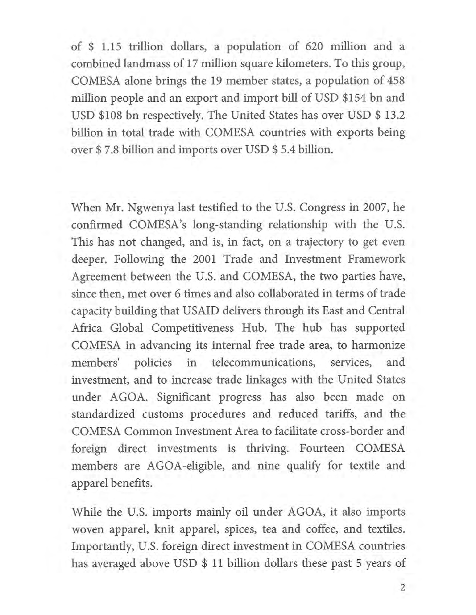of \$ 1.15 trillion dollars, a population of 620 million and a combined landmass of 17 million square kilometers. To this group, COMESA alone brings the 19 member states, a population of 458 million people and an export and import bill of USD \$154 bn and USD \$108 bn respectively. The United States has over USD \$ 13.2 billion in total trade with COMESA countries with exports being over \$ 7.8 billion and imports over USD \$ 5.4 billion.

When Mr. Ngwenya last testified to the U.S. Congress in 2007, he confirmed COMESA's long-standing relationship with the U.S. This has not changed, and is, in fact, on a trajectory to get even deeper. Following the 2001 Trade and Investment Framework Agreement between the U.S. and COMESA, the two parties have, since then, met over 6 times and also collaborated in terms of trade capacity building that USAID delivers through its East and Central Africa Global Competitiveness Hub. The hub has supported COMESA in advancing its internal free trade area, to harmonize members' policies in telecommunications, services, and investment, and to increase trade linkages with the United States under AGOA. Significant progress has also been made on standardized customs procedures and reduced tariffs, and the COMESA Common Investment Area to facilitate cross-border and foreign direct investments is thriving. Fourteen COMESA members are AGOA-eligible, and nine qualify for textile and apparel benefits.

While the U.S. imports mainly oil under AGOA, it also imports woven apparel, knit apparel, spices, tea and coffee, and textiles. Importantly, U.S. foreign direct investment in COMESA countries has averaged above USD \$ 11 billion dollars these past 5 years of

**2**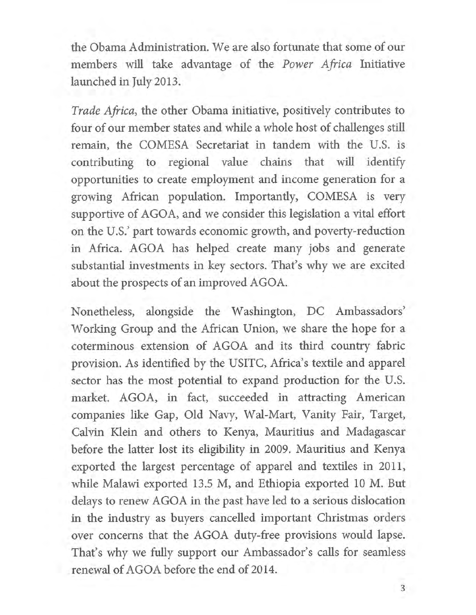the Obama Administration. We are also fortunate that some of our members will take advantage of the *Power Africa* Initiative launched in July 2013.

*Trade Africa,* the other Obama initiative, positively contributes to four of our member states and while a whole host of challenges still remain, the COMESA Secretariat in tandem with the U.S. is contributing to regional value chains that will identify opportunities to create employment and income generation for a growing African population. Importantly, COMESA is very supportive of AGOA, and we consider this legislation a vital effort on the U.S.' part towards economic growth, and poverty-reduction in Africa. AGOA has helped create many jobs and generate substantial investments in key sectors. That's why we are excited about the prospects of an improved AGOA.

Nonetheless, alongside the Washington, DC Ambassadors' Working Group and the African Union, we share the hope for a coterminous extension of AGOA and its third country fabric provision. As identified by the USITC, Africa's textile and apparel sector has the most potential to expand production for the U.S. market. AGOA, in fact, succeeded in attracting American companies like Gap, Old Navy, Wal-Mart, Vanity Fair, Target, Calvin Klein and others to Kenya, Mauritius and Madagascar before the latter lost its eligibility in 2009. Mauritius and Kenya exported the largest percentage of apparel and textiles in 2011, while Malawi exported 13.5 M, and Ethiopia exported 10 M. But delays to renew AGOA in the past have led to a serious dislocation in the industry as buyers cancelled important Christmas orders over concerns that the AGOA duty-free provisions would lapse. That's why we fully support our Ambassador's calls for seamless renewal of AGOA before the end of 2014.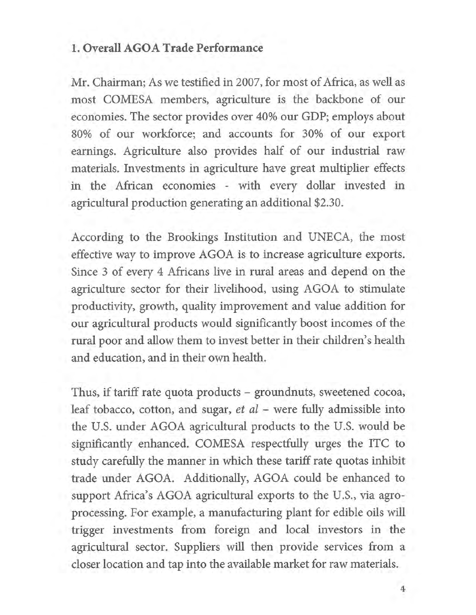## **1. Overall AGOA Trade Performance**

Mr. Chairman; As we testified in 2007, for most of Africa, as well as most COMESA members, agriculture is the backbone of our economies. The sector provides over 40% our GDP; employs about 80% of our workforce; and accounts for 30% of our export earnings. Agriculture also provides half of our industrial raw materials. Investments in agriculture have great multiplier effects in the African economies - with every dollar invested in agricultural production generating an additional \$2.30.

According to the Brookings Institution and UNECA, the most effective way to improve AGOA is to increase agriculture exports. Since 3 of every 4 Africans live in rural areas and depend on the agriculture sector for their livelihood, using AGOA to stimulate productivity, growth, quality improvement and value addition for our agricultural products would significantly boost incomes of the rural poor and allow them to invest better in their children's health and education, and in their own health.

Thus, if tariff rate quota products - groundnuts, sweetened cocoa, leaf tobacco, cotton, and sugar, *et al* - were fully admissible into the U.S. under AGOA agricultural products to the U.S. would be significantly enhanced. COMESA respectfully urges the ITC to study carefully the manner in which these tariff rate quotas inhibit trade under AGOA. Additionally, AGOA could be enhanced to support Africa's AGOA agricultural exports to the U.S., via agroprocessing. For example, a manufacturing plant for edible oils will trigger investments from foreign and local investors in the agricultural sector. Suppliers will then provide services from a closer location and tap into the available market for raw materials.

**4**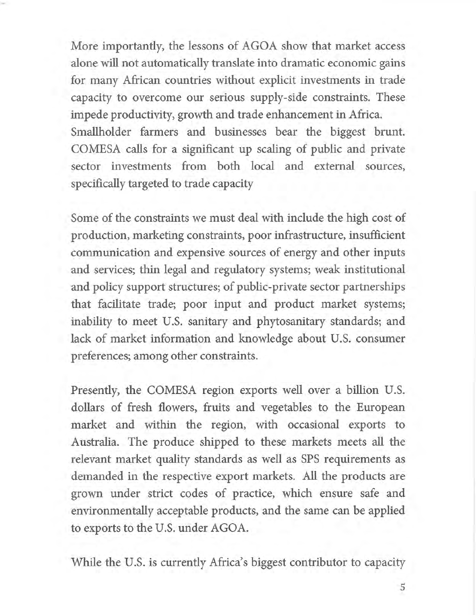More importantly, the lessons of AGOA show that market access alone will not automatically translate into dramatic economic gains for many African countries without explicit investments in trade capacity to overcome our serious supply-side constraints. These impede productivity, growth and trade enhancement in Africa. Smallholder farmers and businesses bear the biggest brunt. COMESA calls for a significant up scaling of public and private sector investments from both local and external sources, specifically targeted to trade capacity

Some of the constraints we must deal with include the high cost of production, marketing constraints, poor infrastructure, insufficient communication and expensive sources of energy and other inputs and services; thin legal and regulatory systems; weak institutional and policy support structures; of public-private sector partnerships that facilitate trade; poor input and product market systems; inability to meet U.S. sanitary and phytosanitary standards; and lack of market information and knowledge about U.S. consumer preferences; among other constraints.

Presently, the COMESA region exports well over a billion U.S. dollars of fresh flowers, fruits and vegetables to the European market and within the region, with occasional exports to Australia. The produce shipped to these markets meets all the relevant market quality standards as well as SPS requirements as demanded in the respective export markets. All the products are grown under strict codes of practice, which ensure safe and environmentally acceptable products, and the same can be applied to exports to the U.S. under AGOA.

While the U.S. is currently Africa's biggest contributor to capacity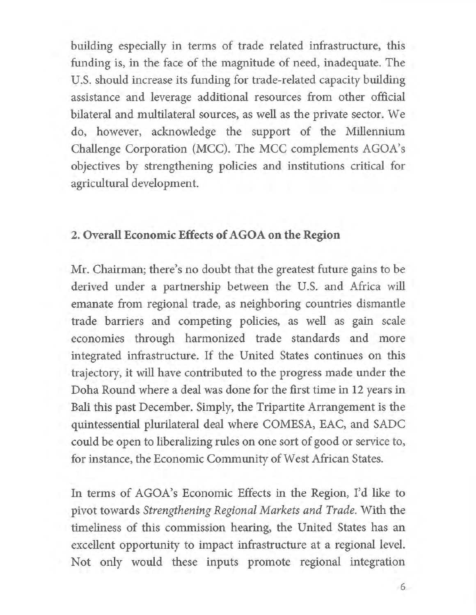building especially in terms of trade related infrastructure, this funding is, in the face of the magnitude of need, inadequate. The U.S. should increase its funding for trade-related capacity building assistance and leverage additional resources from other official bilateral and multilateral sources, as well as the private sector. We do, however, acknowledge the support of the Millennium Challenge Corporation (MCC). The MCC complements AGOA's objectives by strengthening policies and institutions critical for agricultural development.

#### **2. Overall Economic Effects of AGOA on the Region**

Mr. Chairman; there's no doubt that the greatest future gains to be derived under a partnership between the U.S. and Africa will emanate from regional trade, as neighboring countries dismantle trade barriers and competing policies, as well as gain scale economies through harmonized trade standards and more integrated infrastructure. If the United States continues on this trajectory, it will have contributed to the progress made under the Doha Round where a deal was done for the first time in 12 years in Bali this past December. Simply, the Tripartite Arrangement is the quintessential plurilateral deal where COMESA, EAC, and SADC could be open to liberalizing rules on one sort of good or service to, for instance, the Economic Community of West African States.

In terms of AGOA's Economic Effects in the Region, I'd like to pivot towards *Strengthening Regional Markets and Trade.* With the timeliness of this commission hearing, the United States has an excellent opportunity to impact infrastructure at a regional level. Not only would these inputs promote regional integration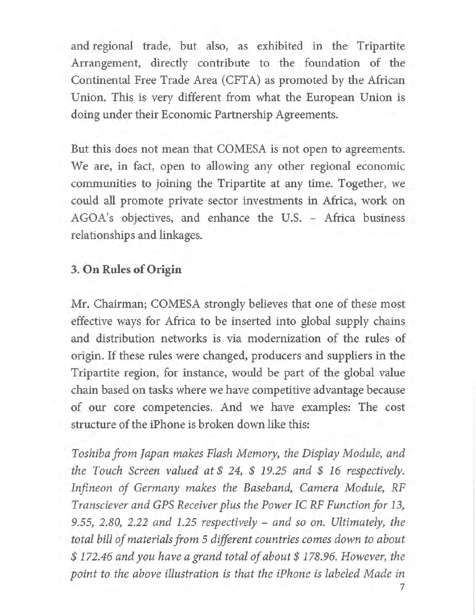and regional trade, but also, as exhibited in the Tripartite Arrangement, directly contribute to the foundation of the Continental Free Trade Area (CFTA) as promoted by the African Union. This is very different from what the European Union is doing under their Economic Partnership Agreements.

But this does not mean that COMESA is not open to agreements. We are, in fact, open to allowing any other regional economic communities to joining the Tripartite at any time. Together, we could all promote private sector investments in Africa, work on AGOA's objectives, and enhance the U.S. - Africa business relationships and linkages.

# **3. On Rules of Origin**

Mr. Chairman; COMESA strongly believes that one of these most effective ways for Africa to be inserted into global supply chains and distribution networks is via modernization of the rules of origin. If these rules were changed, producers and suppliers in the Tripartite region, for instance, would be part of the global value chain based on tasks where we have competitive advantage because of our core competencies. And we have examples: The cost structure of the iPhone is broken down like this:

*Toshiba from Japan makes Flash Memory, the Display Module, and the Touch Screen valued at \$ 24, \$ 19.25 and \$16 respectively. Infineon of Germany makes the Baseband, Camera Module, RF Transciever and GPS Receiver plus the Power IC RF Function for 13, 9.55, 2.80, 2.22 and 1.25 respectively - and so on. Ultimately, the total bill of materials from 5 different countries comes down to about \$ 172.46 and you have a grand total of about \$ 178.96. However, the point to the above illustration is that the iPhone is labeled Made in* 

**7**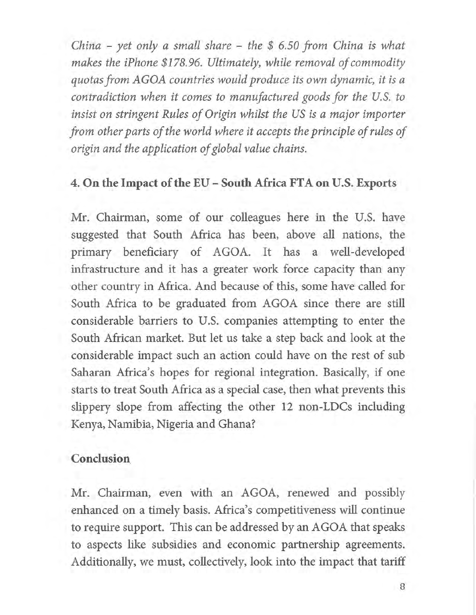*China - yet only a small share - the \$ 6.50 from China is what makes the iPhone \$178.96. Ultimately, while removal of commodity quotas from AGOA countries would produce its own dynamic, it is a contradiction when it comes to manufactured goods for the U.S. to insist on stringent Rules of Origin whilst the US is a major importer from other parts of the world where it accepts the principle of rules of origin and the application of global value chains.* 

## **4. On the Impact of the EU - South Africa FTA on U.S. Exports**

Mr. Chairman, some of our colleagues here in the U.S. have suggested that South Africa has been, above all nations, the primary beneficiary of AGOA. It has a well-developed infrastructure and it has a greater work force capacity than any other country in Africa. And because of this, some have called for South Africa to be graduated from AGOA since there are still considerable barriers to U.S. companies attempting to enter the South African market. But let us take a step back and look at the considerable impact such an action could have on the rest of sub Saharan Africa's hopes for regional integration. Basically, if one starts to treat South Africa as a special case, then what prevents this slippery slope from affecting the other 12 non-LDCs including Kenya, Namibia, Nigeria and Ghana?

## **Conclusion**

Mr. Chairman, even with an AGOA, renewed and possibly enhanced on a timely basis. Africa's competitiveness will continue to require support. This can be addressed by an AGOA that speaks to aspects like subsidies and economic partnership agreements. Additionally, we must, collectively, look into the impact that tariff